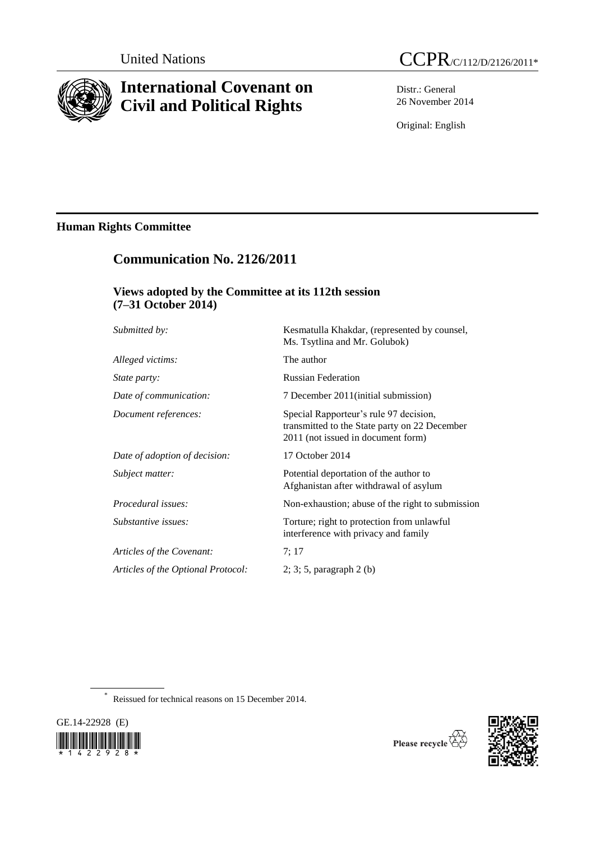

# **International Covenant on Civil and Political Rights**

Distr.: General 26 November 2014

Original: English

## **Human Rights Committee**

# **Communication No. 2126/2011**

### **Views adopted by the Committee at its 112th session (7–31 October 2014)**

| Submitted by:                      | Kesmatulla Khakdar, (represented by counsel,<br>Ms. Tsytlina and Mr. Golubok)                                                 |
|------------------------------------|-------------------------------------------------------------------------------------------------------------------------------|
| Alleged victims:                   | The author                                                                                                                    |
| <i>State party:</i>                | <b>Russian Federation</b>                                                                                                     |
| Date of communication:             | 7 December 2011 (initial submission)                                                                                          |
| Document references:               | Special Rapporteur's rule 97 decision,<br>transmitted to the State party on 22 December<br>2011 (not issued in document form) |
| Date of adoption of decision:      | 17 October 2014                                                                                                               |
| Subject matter:                    | Potential deportation of the author to<br>Afghanistan after withdrawal of asylum                                              |
| Procedural issues:                 | Non-exhaustion; abuse of the right to submission                                                                              |
| Substantive issues:                | Torture; right to protection from unlawful<br>interference with privacy and family                                            |
| Articles of the Covenant:          | 7:17                                                                                                                          |
| Articles of the Optional Protocol: | $2; 3; 5$ , paragraph $2(b)$                                                                                                  |
|                                    |                                                                                                                               |

\* Reissued for technical reasons on 15 December 2014.





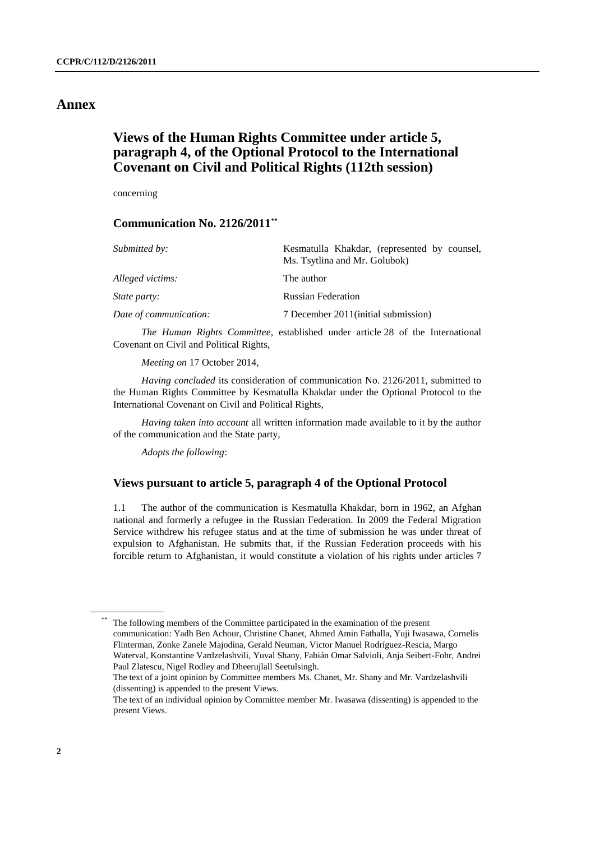### **Annex**

### **Views of the Human Rights Committee under article 5, paragraph 4, of the Optional Protocol to the International Covenant on Civil and Political Rights (112th session)**

concerning

#### **Communication No. 2126/2011***\*\**

| Kesmatulla Khakdar, (represented by counsel,<br>Ms. Tsytlina and Mr. Golubok) |
|-------------------------------------------------------------------------------|
| The author                                                                    |
| <b>Russian Federation</b>                                                     |
| 7 December 2011 (initial submission)                                          |
|                                                                               |

*The Human Rights Committee*, established under article 28 of the International Covenant on Civil and Political Rights,

*Meeting on* 17 October 2014,

*Having concluded* its consideration of communication No. 2126/2011, submitted to the Human Rights Committee by Kesmatulla Khakdar under the Optional Protocol to the International Covenant on Civil and Political Rights,

*Having taken into account* all written information made available to it by the author of the communication and the State party,

*Adopts the following*:

#### **Views pursuant to article 5, paragraph 4 of the Optional Protocol**

1.1 The author of the communication is Kesmatulla Khakdar, born in 1962, an Afghan national and formerly a refugee in the Russian Federation. In 2009 the Federal Migration Service withdrew his refugee status and at the time of submission he was under threat of expulsion to Afghanistan. He submits that, if the Russian Federation proceeds with his forcible return to Afghanistan, it would constitute a violation of his rights under articles 7

The following members of the Committee participated in the examination of the present communication: Yadh Ben Achour, Christine Chanet, Ahmed Amin Fathalla, Yuji Iwasawa, Cornelis Flinterman, Zonke Zanele Majodina, Gerald Neuman, Victor Manuel Rodríguez-Rescia, Margo Waterval, Konstantine Vardzelashvili, Yuval Shany, Fabián Omar Salvioli, Anja Seibert-Fohr, Andrei

Paul Zlatescu, Nigel Rodley and Dheerujlall Seetulsingh. The text of a joint opinion by Committee members Ms. Chanet, Mr. Shany and Mr. Vardzelashvili (dissenting) is appended to the present Views.

The text of an individual opinion by Committee member Mr. Iwasawa (dissenting) is appended to the present Views.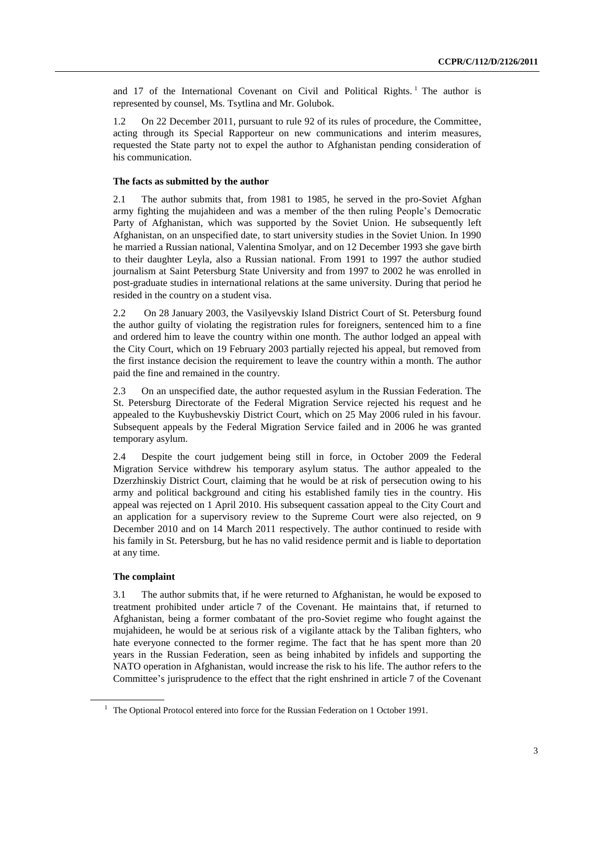and 17 of the International Covenant on Civil and Political Rights.<sup>1</sup> The author is represented by counsel, Ms. Tsytlina and Mr. Golubok.

1.2 On 22 December 2011, pursuant to rule 92 of its rules of procedure, the Committee, acting through its Special Rapporteur on new communications and interim measures, requested the State party not to expel the author to Afghanistan pending consideration of his communication.

#### **The facts as submitted by the author**

2.1 The author submits that, from 1981 to 1985, he served in the pro-Soviet Afghan army fighting the mujahideen and was a member of the then ruling People's Democratic Party of Afghanistan, which was supported by the Soviet Union. He subsequently left Afghanistan, on an unspecified date, to start university studies in the Soviet Union. In 1990 he married a Russian national, Valentina Smolyar, and on 12 December 1993 she gave birth to their daughter Leyla, also a Russian national. From 1991 to 1997 the author studied journalism at Saint Petersburg State University and from 1997 to 2002 he was enrolled in post-graduate studies in international relations at the same university. During that period he resided in the country on a student visa.

2.2 On 28 January 2003, the Vasilyevskiy Island District Court of St. Petersburg found the author guilty of violating the registration rules for foreigners, sentenced him to a fine and ordered him to leave the country within one month. The author lodged an appeal with the City Court, which on 19 February 2003 partially rejected his appeal, but removed from the first instance decision the requirement to leave the country within a month. The author paid the fine and remained in the country.

2.3 On an unspecified date, the author requested asylum in the Russian Federation. The St. Petersburg Directorate of the Federal Migration Service rejected his request and he appealed to the Kuybushevskiy District Court, which on 25 May 2006 ruled in his favour. Subsequent appeals by the Federal Migration Service failed and in 2006 he was granted temporary asylum.

2.4 Despite the court judgement being still in force, in October 2009 the Federal Migration Service withdrew his temporary asylum status. The author appealed to the Dzerzhinskiy District Court, claiming that he would be at risk of persecution owing to his army and political background and citing his established family ties in the country. His appeal was rejected on 1 April 2010. His subsequent cassation appeal to the City Court and an application for a supervisory review to the Supreme Court were also rejected, on 9 December 2010 and on 14 March 2011 respectively. The author continued to reside with his family in St. Petersburg, but he has no valid residence permit and is liable to deportation at any time.

#### **The complaint**

3.1 The author submits that, if he were returned to Afghanistan, he would be exposed to treatment prohibited under article 7 of the Covenant. He maintains that, if returned to Afghanistan, being a former combatant of the pro-Soviet regime who fought against the mujahideen, he would be at serious risk of a vigilante attack by the Taliban fighters, who hate everyone connected to the former regime. The fact that he has spent more than 20 years in the Russian Federation, seen as being inhabited by infidels and supporting the NATO operation in Afghanistan, would increase the risk to his life. The author refers to the Committee's jurisprudence to the effect that the right enshrined in article 7 of the Covenant

 $1$  The Optional Protocol entered into force for the Russian Federation on 1 October 1991.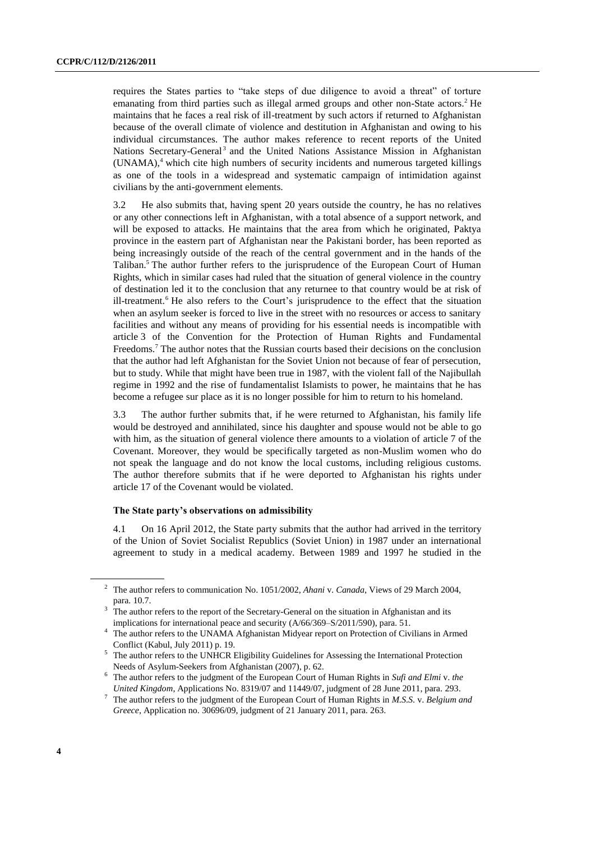requires the States parties to "take steps of due diligence to avoid a threat" of torture emanating from third parties such as illegal armed groups and other non-State actors.<sup>2</sup> He maintains that he faces a real risk of ill-treatment by such actors if returned to Afghanistan because of the overall climate of violence and destitution in Afghanistan and owing to his individual circumstances. The author makes reference to recent reports of the United Nations Secretary-General<sup>3</sup> and the United Nations Assistance Mission in Afghanistan (UNAMA), <sup>4</sup> which cite high numbers of security incidents and numerous targeted killings as one of the tools in a widespread and systematic campaign of intimidation against civilians by the anti-government elements.

3.2 He also submits that, having spent 20 years outside the country, he has no relatives or any other connections left in Afghanistan, with a total absence of a support network, and will be exposed to attacks. He maintains that the area from which he originated, Paktya province in the eastern part of Afghanistan near the Pakistani border, has been reported as being increasingly outside of the reach of the central government and in the hands of the Taliban.<sup>5</sup> The author further refers to the jurisprudence of the European Court of Human Rights, which in similar cases had ruled that the situation of general violence in the country of destination led it to the conclusion that any returnee to that country would be at risk of ill-treatment.<sup>6</sup> He also refers to the Court's jurisprudence to the effect that the situation when an asylum seeker is forced to live in the street with no resources or access to sanitary facilities and without any means of providing for his essential needs is incompatible with article 3 of the Convention for the Protection of Human Rights and Fundamental Freedoms.<sup>7</sup> The author notes that the Russian courts based their decisions on the conclusion that the author had left Afghanistan for the Soviet Union not because of fear of persecution, but to study. While that might have been true in 1987, with the violent fall of the Najibullah regime in 1992 and the rise of fundamentalist Islamists to power, he maintains that he has become a refugee sur place as it is no longer possible for him to return to his homeland.

3.3 The author further submits that, if he were returned to Afghanistan, his family life would be destroyed and annihilated, since his daughter and spouse would not be able to go with him, as the situation of general violence there amounts to a violation of article 7 of the Covenant. Moreover, they would be specifically targeted as non-Muslim women who do not speak the language and do not know the local customs, including religious customs. The author therefore submits that if he were deported to Afghanistan his rights under article 17 of the Covenant would be violated.

#### **The State party's observations on admissibility**

4.1 On 16 April 2012, the State party submits that the author had arrived in the territory of the Union of Soviet Socialist Republics (Soviet Union) in 1987 under an international agreement to study in a medical academy. Between 1989 and 1997 he studied in the

<sup>2</sup> The author refers to communication No. 1051/2002, *Ahani* v. *Canada*, Views of 29 March 2004, para. 10.7.

The author refers to the report of the Secretary-General on the situation in Afghanistan and its implications for international peace and security (A/66/369–S/2011/590), para. 51.

<sup>&</sup>lt;sup>4</sup> The author refers to the UNAMA Afghanistan Midyear report on Protection of Civilians in Armed Conflict (Kabul, July 2011) p. 19.

<sup>&</sup>lt;sup>5</sup> The author refers to the UNHCR Eligibility Guidelines for Assessing the International Protection Needs of Asylum-Seekers from Afghanistan (2007), p. 62.

<sup>6</sup> The author refers to the judgment of the European Court of Human Rights in *Sufi and Elmi* v. *the United Kingdom*, Applications No. 8319/07 and 11449/07, judgment of 28 June 2011, para. 293.

<sup>7</sup> The author refers to the judgment of the European Court of Human Rights in *M.S.S.* v. *Belgium and Greece*, Application no. 30696/09, judgment of 21 January 2011, para. 263.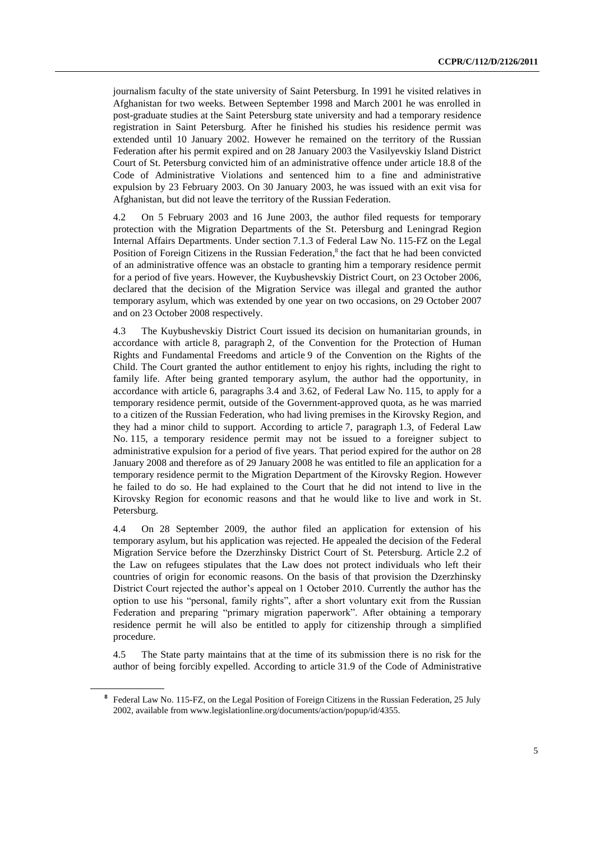journalism faculty of the state university of Saint Petersburg. In 1991 he visited relatives in Afghanistan for two weeks. Between September 1998 and March 2001 he was enrolled in post-graduate studies at the Saint Petersburg state university and had a temporary residence registration in Saint Petersburg. After he finished his studies his residence permit was extended until 10 January 2002. However he remained on the territory of the Russian Federation after his permit expired and on 28 January 2003 the Vasilyevskiy Island District Court of St. Petersburg convicted him of an administrative offence under article 18.8 of the Code of Administrative Violations and sentenced him to a fine and administrative expulsion by 23 February 2003. On 30 January 2003, he was issued with an exit visa for Afghanistan, but did not leave the territory of the Russian Federation.

4.2 On 5 February 2003 and 16 June 2003, the author filed requests for temporary protection with the Migration Departments of the St. Petersburg and Leningrad Region Internal Affairs Departments. Under section 7.1.3 of Federal Law No. 115-FZ on the Legal Position of Foreign Citizens in the Russian Federation,<sup>8</sup> the fact that he had been convicted of an administrative offence was an obstacle to granting him a temporary residence permit for a period of five years. However, the Kuybushevskiy District Court, on 23 October 2006, declared that the decision of the Migration Service was illegal and granted the author temporary asylum, which was extended by one year on two occasions, on 29 October 2007 and on 23 October 2008 respectively.

4.3 The Kuybushevskiy District Court issued its decision on humanitarian grounds, in accordance with article 8, paragraph 2, of the Convention for the Protection of Human Rights and Fundamental Freedoms and article 9 of the Convention on the Rights of the Child. The Court granted the author entitlement to enjoy his rights, including the right to family life. After being granted temporary asylum, the author had the opportunity, in accordance with article 6, paragraphs 3.4 and 3.62, of Federal Law No. 115, to apply for a temporary residence permit, outside of the Government-approved quota, as he was married to a citizen of the Russian Federation, who had living premises in the Kirovsky Region, and they had a minor child to support. According to article 7, paragraph 1.3, of Federal Law No. 115, a temporary residence permit may not be issued to a foreigner subject to administrative expulsion for a period of five years. That period expired for the author on 28 January 2008 and therefore as of 29 January 2008 he was entitled to file an application for a temporary residence permit to the Migration Department of the Kirovsky Region. However he failed to do so. He had explained to the Court that he did not intend to live in the Kirovsky Region for economic reasons and that he would like to live and work in St. Petersburg.

4.4 On 28 September 2009, the author filed an application for extension of his temporary asylum, but his application was rejected. He appealed the decision of the Federal Migration Service before the Dzerzhinsky District Court of St. Petersburg. Article 2.2 of the Law on refugees stipulates that the Law does not protect individuals who left their countries of origin for economic reasons. On the basis of that provision the Dzerzhinsky District Court rejected the author's appeal on 1 October 2010. Currently the author has the option to use his "personal, family rights", after a short voluntary exit from the Russian Federation and preparing "primary migration paperwork". After obtaining a temporary residence permit he will also be entitled to apply for citizenship through a simplified procedure.

4.5 The State party maintains that at the time of its submission there is no risk for the author of being forcibly expelled. According to article 31.9 of the Code of Administrative

**<sup>8</sup>** Federal Law No. 115-FZ, on the Legal Position of Foreign Citizens in the Russian Federation, 25 July 2002, available from www.legislationline.org/documents/action/popup/id/4355.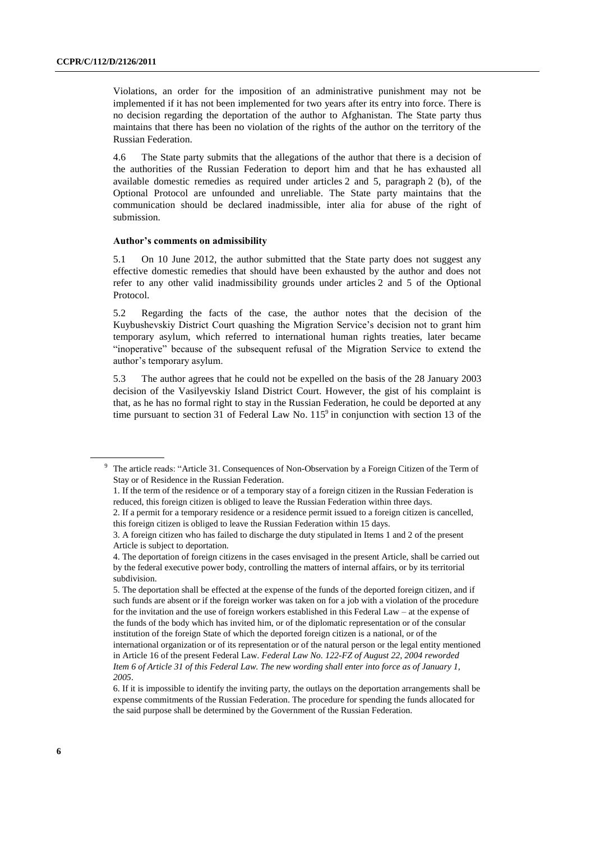Violations, an order for the imposition of an administrative punishment may not be implemented if it has not been implemented for two years after its entry into force. There is no decision regarding the deportation of the author to Afghanistan. The State party thus maintains that there has been no violation of the rights of the author on the territory of the Russian Federation.

4.6 The State party submits that the allegations of the author that there is a decision of the authorities of the Russian Federation to deport him and that he has exhausted all available domestic remedies as required under articles 2 and 5, paragraph 2 (b), of the Optional Protocol are unfounded and unreliable. The State party maintains that the communication should be declared inadmissible, inter alia for abuse of the right of submission.

#### **Author's comments on admissibility**

5.1 On 10 June 2012, the author submitted that the State party does not suggest any effective domestic remedies that should have been exhausted by the author and does not refer to any other valid inadmissibility grounds under articles 2 and 5 of the Optional Protocol.

5.2 Regarding the facts of the case, the author notes that the decision of the Kuybushevskiy District Court quashing the Migration Service's decision not to grant him temporary asylum, which referred to international human rights treaties, later became "inoperative" because of the subsequent refusal of the Migration Service to extend the author's temporary asylum.

5.3 The author agrees that he could not be expelled on the basis of the 28 January 2003 decision of the Vasilyevskiy Island District Court. However, the gist of his complaint is that, as he has no formal right to stay in the Russian Federation, he could be deported at any time pursuant to section 31 of Federal Law No.  $115^{\circ}$  in conjunction with section 13 of the

<sup>9</sup> The article reads: "Article 31. Consequences of Non-Observation by a Foreign Citizen of the Term of Stay or of Residence in the Russian Federation.

<sup>1.</sup> If the term of the residence or of a temporary stay of a foreign citizen in the Russian Federation is reduced, this foreign citizen is obliged to leave the Russian Federation within three days.

<sup>2.</sup> If a permit for a temporary residence or a residence permit issued to a foreign citizen is cancelled, this foreign citizen is obliged to leave the Russian Federation within 15 days.

<sup>3.</sup> A foreign citizen who has failed to discharge the duty stipulated in Items 1 and 2 of the present Article is subject to deportation.

<sup>4.</sup> The deportation of foreign citizens in the cases envisaged in the present Article, shall be carried out by the federal executive power body, controlling the matters of internal affairs, or by its territorial subdivision.

<sup>5.</sup> The deportation shall be effected at the expense of the funds of the deported foreign citizen, and if such funds are absent or if the foreign worker was taken on for a job with a violation of the procedure for the invitation and the use of foreign workers established in this Federal Law – at the expense of the funds of the body which has invited him, or of the diplomatic representation or of the consular institution of the foreign State of which the deported foreign citizen is a national, or of the international organization or of its representation or of the natural person or the legal entity mentioned in Article 16 of the present Federal Law. *Federal Law No. 122-FZ of August 22, 2004 reworded Item 6 of Article 31 of this Federal Law. The new wording shall enter into force as of January 1, 2005*.

<sup>6.</sup> If it is impossible to identify the inviting party, the outlays on the deportation arrangements shall be expense commitments of the Russian Federation. The procedure for spending the funds allocated for the said purpose shall be determined by the Government of the Russian Federation.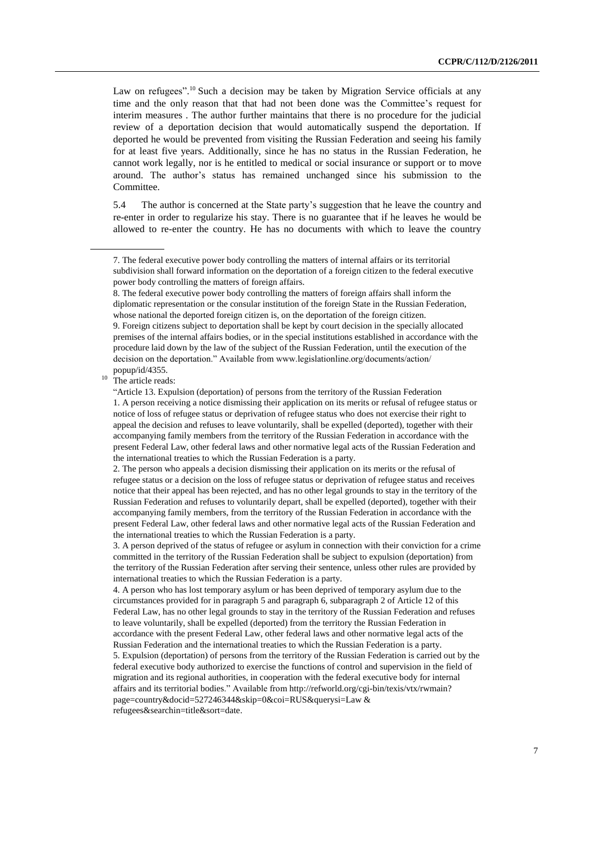Law on refugees".<sup>10</sup> Such a decision may be taken by Migration Service officials at any time and the only reason that that had not been done was the Committee's request for interim measures . The author further maintains that there is no procedure for the judicial review of a deportation decision that would automatically suspend the deportation. If deported he would be prevented from visiting the Russian Federation and seeing his family for at least five years. Additionally, since he has no status in the Russian Federation, he cannot work legally, nor is he entitled to medical or social insurance or support or to move around. The author's status has remained unchanged since his submission to the Committee.

5.4 The author is concerned at the State party's suggestion that he leave the country and re-enter in order to regularize his stay. There is no guarantee that if he leaves he would be allowed to re-enter the country. He has no documents with which to leave the country

4. A person who has lost temporary asylum or has been deprived of temporary asylum due to the circumstances provided for in paragraph 5 and paragraph 6, subparagraph 2 of Article 12 of this Federal Law, has no other legal grounds to stay in the territory of the Russian Federation and refuses to leave voluntarily, shall be expelled (deported) from the territory the Russian Federation in accordance with the present Federal Law, other federal laws and other normative legal acts of the Russian Federation and the international treaties to which the Russian Federation is a party.

5. Expulsion (deportation) of persons from the territory of the Russian Federation is carried out by the federal executive body authorized to exercise the functions of control and supervision in the field of migration and its regional authorities, in cooperation with the federal executive body for internal affairs and its territorial bodies." Available from http://refworld.org/cgi-bin/texis/vtx/rwmain? page=country&docid=527246344&skip=0&coi=RUS&querysi=Law & refugees&searchin=title&sort=date.

<sup>7.</sup> The federal executive power body controlling the matters of internal affairs or its territorial subdivision shall forward information on the deportation of a foreign citizen to the federal executive power body controlling the matters of foreign affairs.

<sup>8.</sup> The federal executive power body controlling the matters of foreign affairs shall inform the diplomatic representation or the consular institution of the foreign State in the Russian Federation, whose national the deported foreign citizen is, on the deportation of the foreign citizen. 9. Foreign citizens subject to deportation shall be kept by court decision in the specially allocated premises of the internal affairs bodies, or in the special institutions established in accordance with the procedure laid down by the law of the subject of the Russian Federation, until the execution of the decision on the deportation." Available from www.legislationline.org/documents/action/ popup/id/4355.

 $10$  The article reads:

<sup>&</sup>quot;Article 13. Expulsion (deportation) of persons from the territory of the Russian Federation 1. A person receiving a notice dismissing their application on its merits or refusal of refugee status or notice of loss of refugee status or deprivation of refugee status who does not exercise their right to appeal the decision and refuses to leave voluntarily, shall be expelled (deported), together with their accompanying family members from the territory of the Russian Federation in accordance with the present Federal Law, other federal laws and other normative legal acts of the Russian Federation and the international treaties to which the Russian Federation is a party.

<sup>2.</sup> The person who appeals a decision dismissing their application on its merits or the refusal of refugee status or a decision on the loss of refugee status or deprivation of refugee status and receives notice that their appeal has been rejected, and has no other legal grounds to stay in the territory of the Russian Federation and refuses to voluntarily depart, shall be expelled (deported), together with their accompanying family members, from the territory of the Russian Federation in accordance with the present Federal Law, other federal laws and other normative legal acts of the Russian Federation and the international treaties to which the Russian Federation is a party.

<sup>3.</sup> A person deprived of the status of refugee or asylum in connection with their conviction for a crime committed in the territory of the Russian Federation shall be subject to expulsion (deportation) from the territory of the Russian Federation after serving their sentence, unless other rules are provided by international treaties to which the Russian Federation is a party.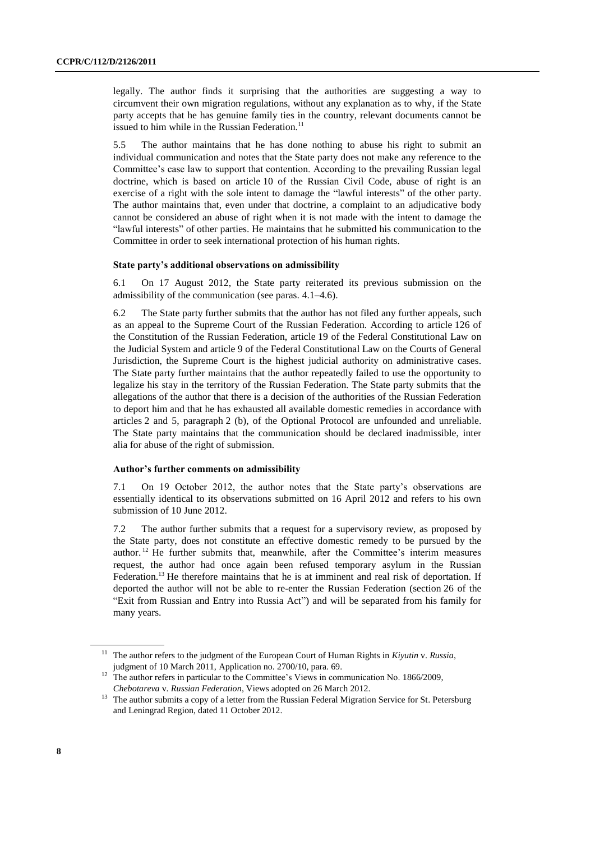legally. The author finds it surprising that the authorities are suggesting a way to circumvent their own migration regulations, without any explanation as to why, if the State party accepts that he has genuine family ties in the country, relevant documents cannot be issued to him while in the Russian Federation.<sup>11</sup>

5.5 The author maintains that he has done nothing to abuse his right to submit an individual communication and notes that the State party does not make any reference to the Committee's case law to support that contention. According to the prevailing Russian legal doctrine, which is based on article 10 of the Russian Civil Code, abuse of right is an exercise of a right with the sole intent to damage the "lawful interests" of the other party. The author maintains that, even under that doctrine, a complaint to an adjudicative body cannot be considered an abuse of right when it is not made with the intent to damage the "lawful interests" of other parties. He maintains that he submitted his communication to the Committee in order to seek international protection of his human rights.

#### **State party's additional observations on admissibility**

6.1 On 17 August 2012, the State party reiterated its previous submission on the admissibility of the communication (see paras. 4.1–4.6).

6.2 The State party further submits that the author has not filed any further appeals, such as an appeal to the Supreme Court of the Russian Federation. According to article 126 of the Constitution of the Russian Federation, article 19 of the Federal Constitutional Law on the Judicial System and article 9 of the Federal Constitutional Law on the Courts of General Jurisdiction, the Supreme Court is the highest judicial authority on administrative cases. The State party further maintains that the author repeatedly failed to use the opportunity to legalize his stay in the territory of the Russian Federation. The State party submits that the allegations of the author that there is a decision of the authorities of the Russian Federation to deport him and that he has exhausted all available domestic remedies in accordance with articles 2 and 5, paragraph 2 (b), of the Optional Protocol are unfounded and unreliable. The State party maintains that the communication should be declared inadmissible, inter alia for abuse of the right of submission.

#### **Author's further comments on admissibility**

7.1 On 19 October 2012, the author notes that the State party's observations are essentially identical to its observations submitted on 16 April 2012 and refers to his own submission of 10 June 2012.

7.2 The author further submits that a request for a supervisory review, as proposed by the State party, does not constitute an effective domestic remedy to be pursued by the author. <sup>12</sup> He further submits that, meanwhile, after the Committee's interim measures request, the author had once again been refused temporary asylum in the Russian Federation.<sup>13</sup> He therefore maintains that he is at imminent and real risk of deportation. If deported the author will not be able to re-enter the Russian Federation (section 26 of the "Exit from Russian and Entry into Russia Act") and will be separated from his family for many years.

<sup>11</sup> The author refers to the judgment of the European Court of Human Rights in *Kiyutin* v. *Russia*, judgment of 10 March 2011, Application no. [2700/10,](http://hudoc.echr.coe.int/sites/eng/Pages/search.aspx#{"appno":["2700/10"]}) para. 69.

<sup>&</sup>lt;sup>12</sup> The author refers in particular to the Committee's Views in communication No. 1866/2009, *Chebotareva* v. *Russian Federation*, Views adopted on 26 March 2012.

<sup>&</sup>lt;sup>13</sup> The author submits a copy of a letter from the Russian Federal Migration Service for St. Petersburg and Leningrad Region, dated 11 October 2012.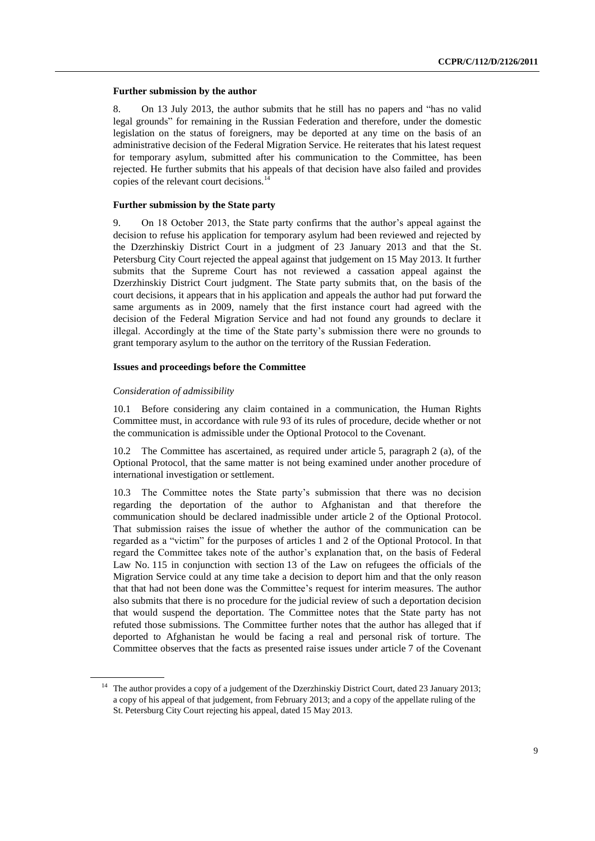#### **Further submission by the author**

8. On 13 July 2013, the author submits that he still has no papers and "has no valid legal grounds" for remaining in the Russian Federation and therefore, under the domestic legislation on the status of foreigners, may be deported at any time on the basis of an administrative decision of the Federal Migration Service. He reiterates that his latest request for temporary asylum, submitted after his communication to the Committee, has been rejected. He further submits that his appeals of that decision have also failed and provides copies of the relevant court decisions.<sup>14</sup>

#### **Further submission by the State party**

9. On 18 October 2013, the State party confirms that the author's appeal against the decision to refuse his application for temporary asylum had been reviewed and rejected by the Dzerzhinskiy District Court in a judgment of 23 January 2013 and that the St. Petersburg City Court rejected the appeal against that judgement on 15 May 2013. It further submits that the Supreme Court has not reviewed a cassation appeal against the Dzerzhinskiy District Court judgment. The State party submits that, on the basis of the court decisions, it appears that in his application and appeals the author had put forward the same arguments as in 2009, namely that the first instance court had agreed with the decision of the Federal Migration Service and had not found any grounds to declare it illegal. Accordingly at the time of the State party's submission there were no grounds to grant temporary asylum to the author on the territory of the Russian Federation.

#### **Issues and proceedings before the Committee**

#### *Consideration of admissibility*

10.1 Before considering any claim contained in a communication, the Human Rights Committee must, in accordance with rule 93 of its rules of procedure, decide whether or not the communication is admissible under the Optional Protocol to the Covenant.

10.2 The Committee has ascertained, as required under article 5, paragraph 2 (a), of the Optional Protocol, that the same matter is not being examined under another procedure of international investigation or settlement.

The Committee notes the State party's submission that there was no decision regarding the deportation of the author to Afghanistan and that therefore the communication should be declared inadmissible under article 2 of the Optional Protocol. That submission raises the issue of whether the author of the communication can be regarded as a "victim" for the purposes of articles 1 and 2 of the Optional Protocol. In that regard the Committee takes note of the author's explanation that, on the basis of Federal Law No. 115 in conjunction with section 13 of the Law on refugees the officials of the Migration Service could at any time take a decision to deport him and that the only reason that that had not been done was the Committee's request for interim measures. The author also submits that there is no procedure for the judicial review of such a deportation decision that would suspend the deportation. The Committee notes that the State party has not refuted those submissions. The Committee further notes that the author has alleged that if deported to Afghanistan he would be facing a real and personal risk of torture. The Committee observes that the facts as presented raise issues under article 7 of the Covenant

<sup>&</sup>lt;sup>14</sup> The author provides a copy of a judgement of the Dzerzhinskiy District Court, dated 23 January 2013; a copy of his appeal of that judgement, from February 2013; and a copy of the appellate ruling of the St. Petersburg City Court rejecting his appeal, dated 15 May 2013.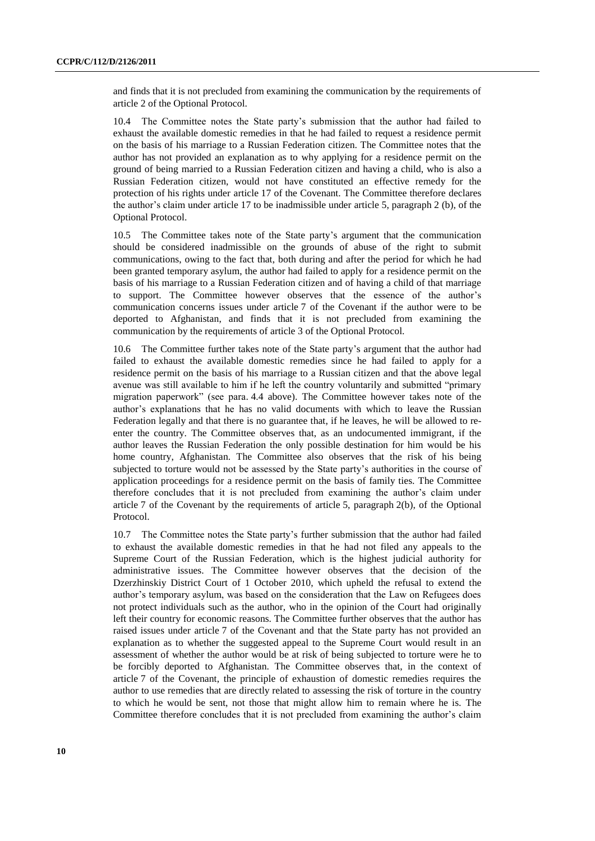and finds that it is not precluded from examining the communication by the requirements of article 2 of the Optional Protocol.

10.4 The Committee notes the State party's submission that the author had failed to exhaust the available domestic remedies in that he had failed to request a residence permit on the basis of his marriage to a Russian Federation citizen. The Committee notes that the author has not provided an explanation as to why applying for a residence permit on the ground of being married to a Russian Federation citizen and having a child, who is also a Russian Federation citizen, would not have constituted an effective remedy for the protection of his rights under article 17 of the Covenant. The Committee therefore declares the author's claim under article 17 to be inadmissible under article 5, paragraph 2 (b), of the Optional Protocol.

10.5 The Committee takes note of the State party's argument that the communication should be considered inadmissible on the grounds of abuse of the right to submit communications, owing to the fact that, both during and after the period for which he had been granted temporary asylum, the author had failed to apply for a residence permit on the basis of his marriage to a Russian Federation citizen and of having a child of that marriage to support. The Committee however observes that the essence of the author's communication concerns issues under article 7 of the Covenant if the author were to be deported to Afghanistan, and finds that it is not precluded from examining the communication by the requirements of article 3 of the Optional Protocol.

10.6 The Committee further takes note of the State party's argument that the author had failed to exhaust the available domestic remedies since he had failed to apply for a residence permit on the basis of his marriage to a Russian citizen and that the above legal avenue was still available to him if he left the country voluntarily and submitted "primary migration paperwork" (see para. 4.4 above). The Committee however takes note of the author's explanations that he has no valid documents with which to leave the Russian Federation legally and that there is no guarantee that, if he leaves, he will be allowed to reenter the country. The Committee observes that, as an undocumented immigrant, if the author leaves the Russian Federation the only possible destination for him would be his home country, Afghanistan. The Committee also observes that the risk of his being subjected to torture would not be assessed by the State party's authorities in the course of application proceedings for a residence permit on the basis of family ties. The Committee therefore concludes that it is not precluded from examining the author's claim under article 7 of the Covenant by the requirements of article 5, paragraph 2(b), of the Optional Protocol.

10.7 The Committee notes the State party's further submission that the author had failed to exhaust the available domestic remedies in that he had not filed any appeals to the Supreme Court of the Russian Federation, which is the highest judicial authority for administrative issues. The Committee however observes that the decision of the Dzerzhinskiy District Court of 1 October 2010, which upheld the refusal to extend the author's temporary asylum, was based on the consideration that the Law on Refugees does not protect individuals such as the author, who in the opinion of the Court had originally left their country for economic reasons. The Committee further observes that the author has raised issues under article 7 of the Covenant and that the State party has not provided an explanation as to whether the suggested appeal to the Supreme Court would result in an assessment of whether the author would be at risk of being subjected to torture were he to be forcibly deported to Afghanistan. The Committee observes that, in the context of article 7 of the Covenant, the principle of exhaustion of domestic remedies requires the author to use remedies that are directly related to assessing the risk of torture in the country to which he would be sent, not those that might allow him to remain where he is. The Committee therefore concludes that it is not precluded from examining the author's claim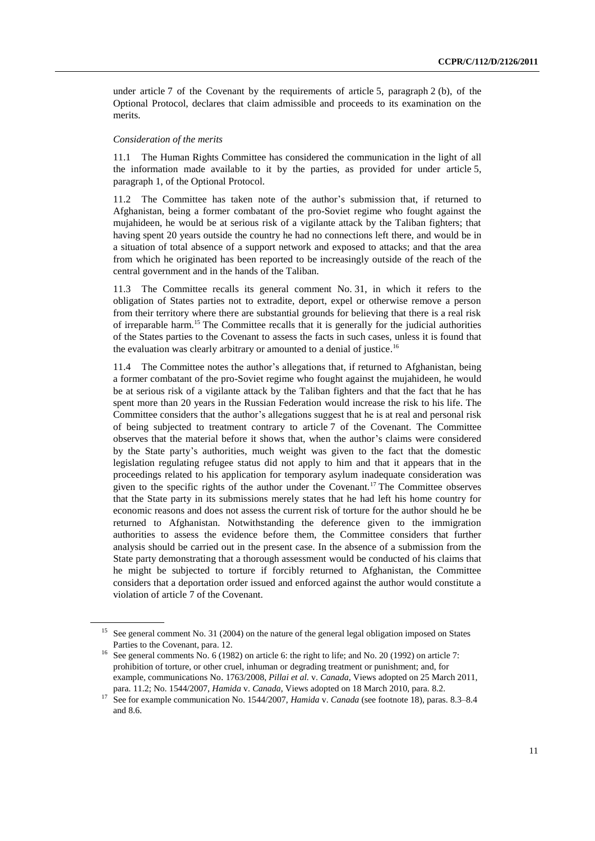under article 7 of the Covenant by the requirements of article 5, paragraph  $2$  (b), of the Optional Protocol, declares that claim admissible and proceeds to its examination on the merits.

#### *Consideration of the merits*

11.1 The Human Rights Committee has considered the communication in the light of all the information made available to it by the parties, as provided for under article 5, paragraph 1, of the Optional Protocol.

11.2 The Committee has taken note of the author's submission that, if returned to Afghanistan, being a former combatant of the pro-Soviet regime who fought against the mujahideen, he would be at serious risk of a vigilante attack by the Taliban fighters; that having spent 20 years outside the country he had no connections left there, and would be in a situation of total absence of a support network and exposed to attacks; and that the area from which he originated has been reported to be increasingly outside of the reach of the central government and in the hands of the Taliban.

11.3 The Committee recalls its general comment No. 31, in which it refers to the obligation of States parties not to extradite, deport, expel or otherwise remove a person from their territory where there are substantial grounds for believing that there is a real risk of irreparable harm.<sup>15</sup> The Committee recalls that it is generally for the judicial authorities of the States parties to the Covenant to assess the facts in such cases, unless it is found that the evaluation was clearly arbitrary or amounted to a denial of justice.<sup>16</sup>

11.4 The Committee notes the author's allegations that, if returned to Afghanistan, being a former combatant of the pro-Soviet regime who fought against the mujahideen, he would be at serious risk of a vigilante attack by the Taliban fighters and that the fact that he has spent more than 20 years in the Russian Federation would increase the risk to his life. The Committee considers that the author's allegations suggest that he is at real and personal risk of being subjected to treatment contrary to article 7 of the Covenant. The Committee observes that the material before it shows that, when the author's claims were considered by the State party's authorities, much weight was given to the fact that the domestic legislation regulating refugee status did not apply to him and that it appears that in the proceedings related to his application for temporary asylum inadequate consideration was given to the specific rights of the author under the Covenant.<sup>17</sup> The Committee observes that the State party in its submissions merely states that he had left his home country for economic reasons and does not assess the current risk of torture for the author should he be returned to Afghanistan. Notwithstanding the deference given to the immigration authorities to assess the evidence before them, the Committee considers that further analysis should be carried out in the present case. In the absence of a submission from the State party demonstrating that a thorough assessment would be conducted of his claims that he might be subjected to torture if forcibly returned to Afghanistan, the Committee considers that a deportation order issued and enforced against the author would constitute a violation of article 7 of the Covenant.

<sup>&</sup>lt;sup>15</sup> See general comment No. 31 (2004) on the nature of the general legal obligation imposed on States Parties to the Covenant, para. 12.

<sup>&</sup>lt;sup>16</sup> See general comments No. 6 (1982) on article 6: the right to life; and No. 20 (1992) on article 7: prohibition of torture, or other cruel, inhuman or degrading treatment or punishment; and, for example, communications No. [1763/2008,](http://sim.law.uu.nl/SIM/CaseLaw/CCPRcase.nsf/f24e71b48a2b7174c1256835003ceaa3/7EADE9B62B151F21C12578CB0030C7BE?Opendocument) *Pillai et al.* v. *Canada*, Views adopted on 25 March 2011, para. 11.2; No. 1544/2007, *Hamida* v. *Canada*, Views adopted on 18 March 2010, para. 8.2.

<sup>17</sup> See for example communication No. 1544/2007, *Hamida* v. *Canada* (see footnote 18), paras. 8.3–8.4 and 8.6.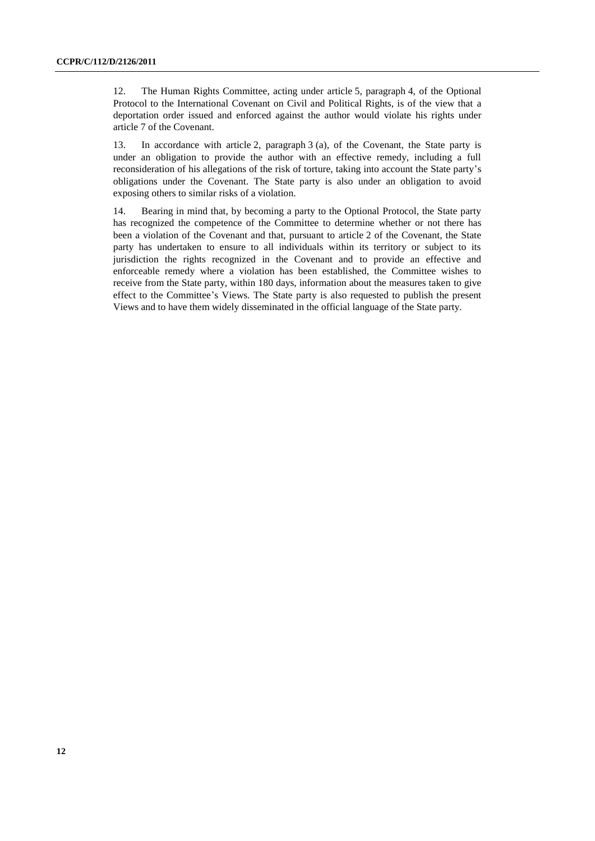12. The Human Rights Committee, acting under article 5, paragraph 4, of the Optional Protocol to the International Covenant on Civil and Political Rights, is of the view that a deportation order issued and enforced against the author would violate his rights under article 7 of the Covenant.

13. In accordance with article 2, paragraph 3 (a), of the Covenant, the State party is under an obligation to provide the author with an effective remedy, including a full reconsideration of his allegations of the risk of torture, taking into account the State party's obligations under the Covenant. The State party is also under an obligation to avoid exposing others to similar risks of a violation.

14. Bearing in mind that, by becoming a party to the Optional Protocol, the State party has recognized the competence of the Committee to determine whether or not there has been a violation of the Covenant and that, pursuant to article 2 of the Covenant, the State party has undertaken to ensure to all individuals within its territory or subject to its jurisdiction the rights recognized in the Covenant and to provide an effective and enforceable remedy where a violation has been established, the Committee wishes to receive from the State party, within 180 days, information about the measures taken to give effect to the Committee's Views. The State party is also requested to publish the present Views and to have them widely disseminated in the official language of the State party.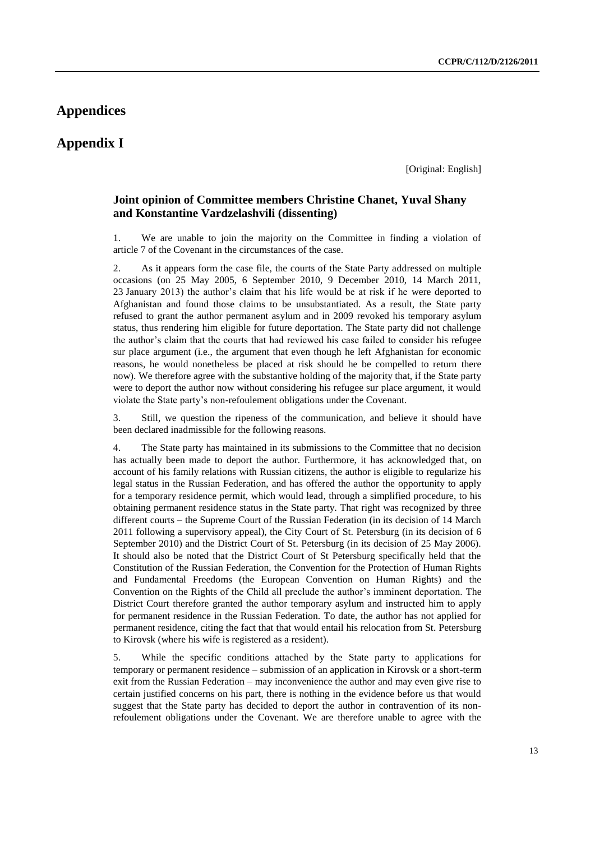### **Appendices**

### **Appendix I**

[Original: English]

#### **Joint opinion of Committee members Christine Chanet, Yuval Shany and Konstantine Vardzelashvili (dissenting)**

1. We are unable to join the majority on the Committee in finding a violation of article 7 of the Covenant in the circumstances of the case.

2. As it appears form the case file, the courts of the State Party addressed on multiple occasions (on 25 May 2005, 6 September 2010, 9 December 2010, 14 March 2011, 23 January 2013) the author's claim that his life would be at risk if he were deported to Afghanistan and found those claims to be unsubstantiated. As a result, the State party refused to grant the author permanent asylum and in 2009 revoked his temporary asylum status, thus rendering him eligible for future deportation. The State party did not challenge the author's claim that the courts that had reviewed his case failed to consider his refugee sur place argument (i.e., the argument that even though he left Afghanistan for economic reasons, he would nonetheless be placed at risk should he be compelled to return there now). We therefore agree with the substantive holding of the majority that, if the State party were to deport the author now without considering his refugee sur place argument, it would violate the State party's non-refoulement obligations under the Covenant.

3. Still, we question the ripeness of the communication, and believe it should have been declared inadmissible for the following reasons.

4. The State party has maintained in its submissions to the Committee that no decision has actually been made to deport the author. Furthermore, it has acknowledged that, on account of his family relations with Russian citizens, the author is eligible to regularize his legal status in the Russian Federation, and has offered the author the opportunity to apply for a temporary residence permit, which would lead, through a simplified procedure, to his obtaining permanent residence status in the State party. That right was recognized by three different courts – the Supreme Court of the Russian Federation (in its decision of 14 March 2011 following a supervisory appeal), the City Court of St. Petersburg (in its decision of 6 September 2010) and the District Court of St. Petersburg (in its decision of 25 May 2006). It should also be noted that the District Court of St Petersburg specifically held that the Constitution of the Russian Federation, the Convention for the Protection of Human Rights and Fundamental Freedoms (the European Convention on Human Rights) and the Convention on the Rights of the Child all preclude the author's imminent deportation. The District Court therefore granted the author temporary asylum and instructed him to apply for permanent residence in the Russian Federation. To date, the author has not applied for permanent residence, citing the fact that that would entail his relocation from St. Petersburg to Kirovsk (where his wife is registered as a resident).

5. While the specific conditions attached by the State party to applications for temporary or permanent residence – submission of an application in Kirovsk or a short-term exit from the Russian Federation – may inconvenience the author and may even give rise to certain justified concerns on his part, there is nothing in the evidence before us that would suggest that the State party has decided to deport the author in contravention of its nonrefoulement obligations under the Covenant. We are therefore unable to agree with the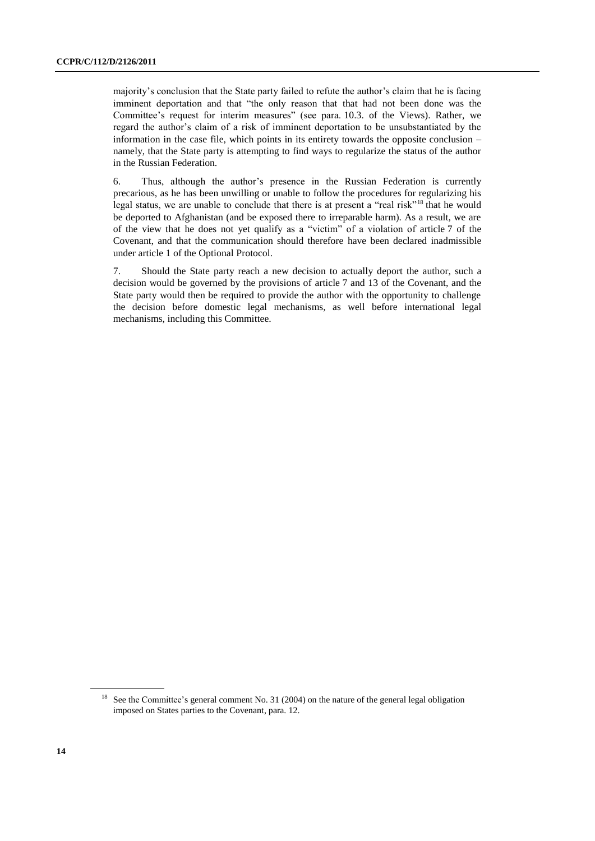majority's conclusion that the State party failed to refute the author's claim that he is facing imminent deportation and that "the only reason that that had not been done was the Committee's request for interim measures" (see para. 10.3. of the Views). Rather, we regard the author's claim of a risk of imminent deportation to be unsubstantiated by the information in the case file, which points in its entirety towards the opposite conclusion – namely, that the State party is attempting to find ways to regularize the status of the author in the Russian Federation.

6. Thus, although the author's presence in the Russian Federation is currently precarious, as he has been unwilling or unable to follow the procedures for regularizing his legal status, we are unable to conclude that there is at present a "real risk"<sup>18</sup> that he would be deported to Afghanistan (and be exposed there to irreparable harm). As a result, we are of the view that he does not yet qualify as a "victim" of a violation of article 7 of the Covenant, and that the communication should therefore have been declared inadmissible under article 1 of the Optional Protocol.

7. Should the State party reach a new decision to actually deport the author, such a decision would be governed by the provisions of article 7 and 13 of the Covenant, and the State party would then be required to provide the author with the opportunity to challenge the decision before domestic legal mechanisms, as well before international legal mechanisms, including this Committee.

<sup>&</sup>lt;sup>18</sup> See the Committee's general comment No. 31 (2004) on the nature of the general legal obligation imposed on States parties to the Covenant, para. 12.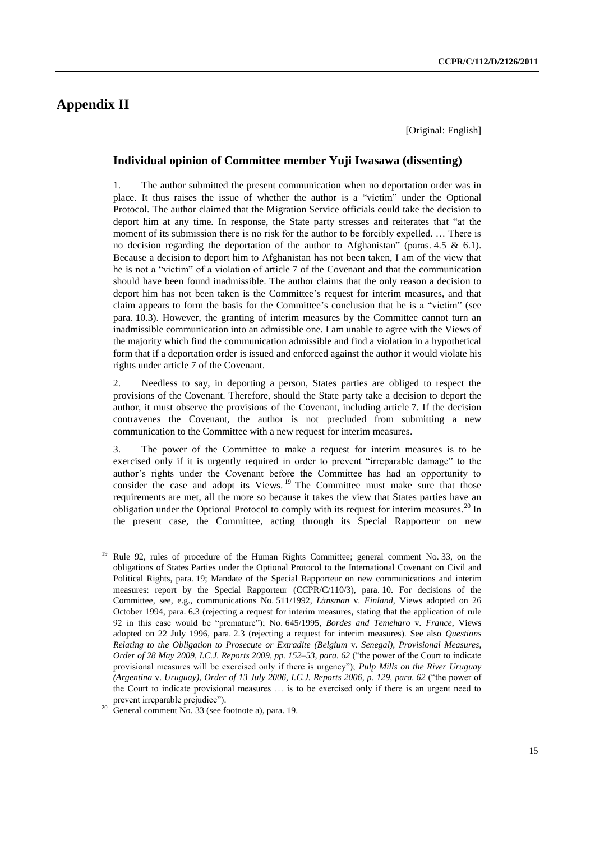## **Appendix II**

[Original: English]

### **Individual opinion of Committee member Yuji Iwasawa (dissenting)**

1. The author submitted the present communication when no deportation order was in place. It thus raises the issue of whether the author is a "victim" under the Optional Protocol. The author claimed that the Migration Service officials could take the decision to deport him at any time. In response, the State party stresses and reiterates that "at the moment of its submission there is no risk for the author to be forcibly expelled. … There is no decision regarding the deportation of the author to Afghanistan" (paras. 4.5  $\&$  6.1). Because a decision to deport him to Afghanistan has not been taken, I am of the view that he is not a "victim" of a violation of article 7 of the Covenant and that the communication should have been found inadmissible. The author claims that the only reason a decision to deport him has not been taken is the Committee's request for interim measures, and that claim appears to form the basis for the Committee's conclusion that he is a "victim" (see para. 10.3). However, the granting of interim measures by the Committee cannot turn an inadmissible communication into an admissible one. I am unable to agree with the Views of the majority which find the communication admissible and find a violation in a hypothetical form that if a deportation order is issued and enforced against the author it would violate his rights under article 7 of the Covenant.

2. Needless to say, in deporting a person, States parties are obliged to respect the provisions of the Covenant. Therefore, should the State party take a decision to deport the author, it must observe the provisions of the Covenant, including article 7. If the decision contravenes the Covenant, the author is not precluded from submitting a new communication to the Committee with a new request for interim measures.

3. The power of the Committee to make a request for interim measures is to be exercised only if it is urgently required in order to prevent "irreparable damage" to the author's rights under the Covenant before the Committee has had an opportunity to consider the case and adopt its Views.<sup>19</sup> The Committee must make sure that those requirements are met, all the more so because it takes the view that States parties have an obligation under the Optional Protocol to comply with its request for interim measures.<sup>20</sup> In the present case, the Committee, acting through its Special Rapporteur on new

<sup>19</sup> Rule 92, rules of procedure of the Human Rights Committee; general comment No. 33, on the obligations of States Parties under the Optional Protocol to the International Covenant on Civil and Political Rights, para. 19; Mandate of the Special Rapporteur on new communications and interim measures: report by the Special Rapporteur (CCPR/C/110/3), para. 10. For decisions of the Committee, see, e.g., communications No. 511/1992, *Länsman* v. *Finland*, Views adopted on 26 October 1994, para. 6.3 (rejecting a request for interim measures, stating that the application of rule 92 in this case would be "premature"); No. 645/1995, *Bordes and Temeharo* v. *France*, Views adopted on 22 July 1996, para. 2.3 (rejecting a request for interim measures). See also *Questions Relating to the Obligation to Prosecute or Extradite (Belgium* v. *Senegal), Provisional Measures, Order of 28 May 2009, I.C.J. Reports 2009, pp. 152–53, para. 62* ("the power of the Court to indicate provisional measures will be exercised only if there is urgency"); *Pulp Mills on the River Uruguay (Argentina* v. *Uruguay), Order of 13 July 2006, I.C.J. Reports 2006, p. 129, para. 62* ("the power of the Court to indicate provisional measures … is to be exercised only if there is an urgent need to prevent irreparable prejudice").

<sup>20</sup> General comment No. 33 (see footnote a), para. 19.